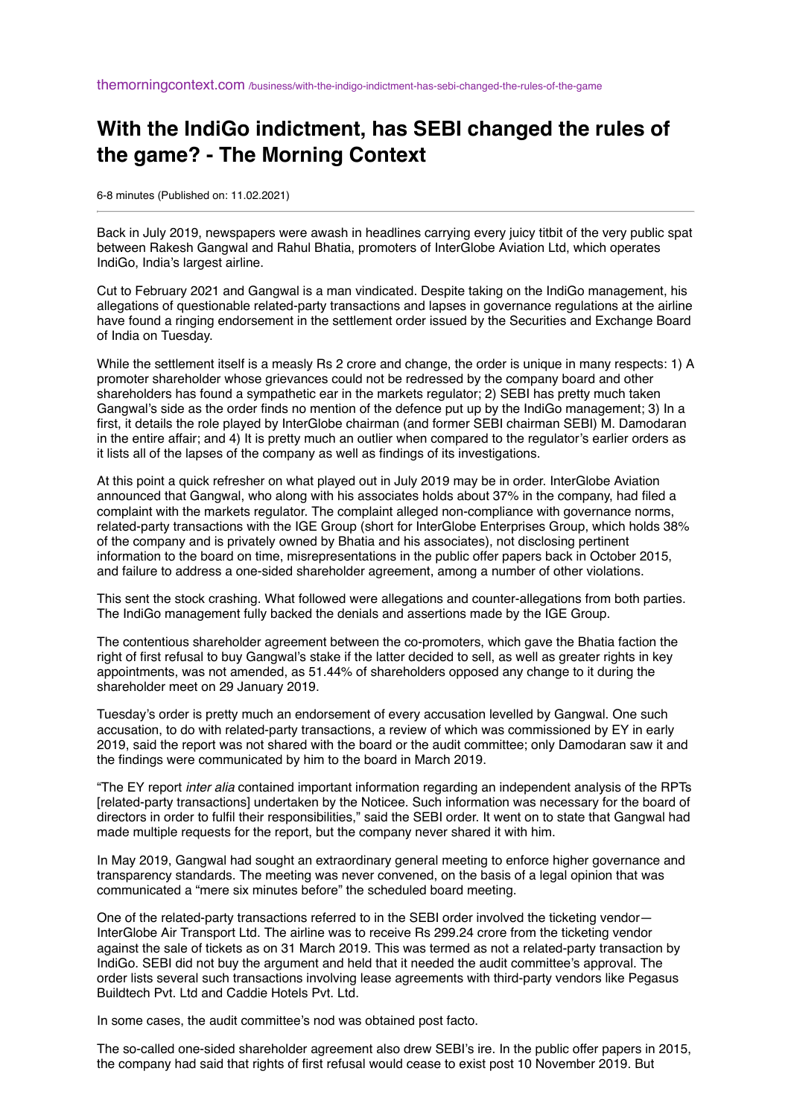## **With the IndiGo indictment, has SEBI changed the rules of the game? - The Morning Context**

6-8 minutes (Published on: 11.02.2021)

Back in July 2019, newspapers were awash in headlines carrying every juicy titbit of the very public spat between Rakesh Gangwal and Rahul Bhatia, promoters of InterGlobe Aviation Ltd, which operates IndiGo, India's largest airline.

Cut to February 2021 and Gangwal is a man vindicated. Despite taking on the IndiGo management, his allegations of questionable related-party transactions and lapses in governance regulations at the airline have found a ringing endorsement in the settlement order issued by the Securities and Exchange Board of India on Tuesday.

While the settlement itself is a measly Rs 2 crore and change, the order is unique in many respects: 1) A promoter shareholder whose grievances could not be redressed by the company board and other shareholders has found a sympathetic ear in the markets regulator; 2) SEBI has pretty much taken Gangwal's side as the order finds no mention of the defence put up by the IndiGo management; 3) In a first, it details the role played by InterGlobe chairman (and former SEBI chairman SEBI) M. Damodaran in the entire affair; and 4) It is pretty much an outlier when compared to the regulator's earlier orders as it lists all of the lapses of the company as well as findings of its investigations.

At this point a quick refresher on what played out in July 2019 may be in order. InterGlobe Aviation announced that Gangwal, who along with his associates holds about 37% in the company, had filed a complaint with the markets regulator. The complaint alleged non-compliance with governance norms, related-party transactions with the IGE Group (short for InterGlobe Enterprises Group, which holds 38% of the company and is privately owned by Bhatia and his associates), not disclosing pertinent information to the board on time, misrepresentations in the public offer papers back in October 2015, and failure to address a one-sided shareholder agreement, among a number of other violations.

This sent the stock crashing. What followed were allegations and counter-allegations from both parties. The IndiGo management fully backed the denials and assertions made by the IGE Group.

The contentious shareholder agreement between the co-promoters, which gave the Bhatia faction the right of first refusal to buy Gangwal's stake if the latter decided to sell, as well as greater rights in key appointments, was not amended, as 51.44% of shareholders opposed any change to it during the shareholder meet on 29 January 2019.

Tuesday's order is pretty much an endorsement of every accusation levelled by Gangwal. One such accusation, to do with related-party transactions, a review of which was commissioned by EY in early 2019, said the report was not shared with the board or the audit committee; only Damodaran saw it and the findings were communicated by him to the board in March 2019.

"The EY report *inter alia* contained important information regarding an independent analysis of the RPTs [related-party transactions] undertaken by the Noticee. Such information was necessary for the board of directors in order to fulfil their responsibilities," said the SEBI order. It went on to state that Gangwal had made multiple requests for the report, but the company never shared it with him.

In May 2019, Gangwal had sought an extraordinary general meeting to enforce higher governance and transparency standards. The meeting was never convened, on the basis of a legal opinion that was communicated a "mere six minutes before" the scheduled board meeting.

One of the related-party transactions referred to in the SEBI order involved the ticketing vendor— InterGlobe Air Transport Ltd. The airline was to receive Rs 299.24 crore from the ticketing vendor against the sale of tickets as on 31 March 2019. This was termed as not a related-party transaction by IndiGo. SEBI did not buy the argument and held that it needed the audit committee's approval. The order lists several such transactions involving lease agreements with third-party vendors like Pegasus Buildtech Pvt. Ltd and Caddie Hotels Pvt. Ltd.

In some cases, the audit committee's nod was obtained post facto.

The so-called one-sided shareholder agreement also drew SEBI's ire. In the public offer papers in 2015, the company had said that rights of first refusal would cease to exist post 10 November 2019. But